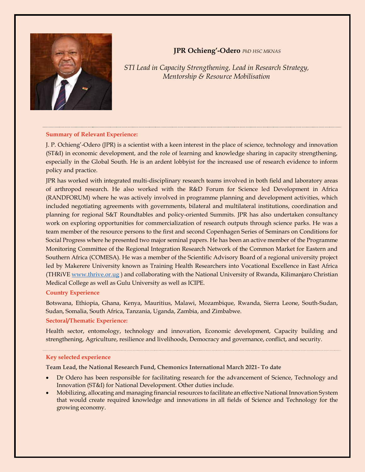

# **JPR Ochieng'-Odero** *PhD HSC MKNAS*

*STI Lead in Capacity Strengthening, Lead in Research Strategy, Mentorship & Resource Mobilisation*

### **Summary of Relevant Experience:**

J. P. Ochieng'-Odero (JPR) is a scientist with a keen interest in the place of science, technology and innovation (ST&I) in economic development, and the role of learning and knowledge sharing in capacity strengthening, especially in the Global South. He is an ardent lobbyist for the increased use of research evidence to inform policy and practice.

JPR has worked with integrated multi-disciplinary research teams involved in both field and laboratory areas of arthropod research. He also worked with the R&D Forum for Science led Development in Africa (RANDFORUM) where he was actively involved in programme planning and development activities, which included negotiating agreements with governments, bilateral and multilateral institutions, coordination and planning for regional S&T Roundtables and policy-oriented Summits. JPR has also undertaken consultancy work on exploring opportunities for commercialization of research outputs through science parks. He was a team member of the resource persons to the first and second Copenhagen Series of Seminars on Conditions for Social Progress where he presented two major seminal papers. He has been an active member of the Programme Monitoring Committee of the Regional Integration Research Network of the Common Market for Eastern and Southern Africa (COMESA). He was a member of the Scientific Advisory Board of a regional university project led by Makerere University known as Training Health Researchers into Vocational Excellence in East Africa (THRiVE [www.thrive.or.ug](http://www.thrive.or.ug/) ) and collaborating with the National University of Rwanda, Kilimanjaro Christian Medical College as well as Gulu University as well as ICIPE.

### **Country Experience**

Botswana, Ethiopia, Ghana, Kenya, Mauritius, Malawi, Mozambique, Rwanda, Sierra Leone, South-Sudan, Sudan, Somalia, South Africa, Tanzania, Uganda, Zambia, and Zimbabwe.

### **Sectoral/Thematic Experience:**

Health sector, entomology, technology and innovation, Economic development, Capacity building and strengthening, Agriculture, resilience and livelihoods, Democracy and governance, conflict, and security.

## **Key selected experience**

**Team Lead, the National Research Fund, Chemonics International March 2021- To date**

- Dr Odero has been responsible for facilitating research for the advancement of Science, Technology and Innovation (ST&I) for National Development. Other duties include.
- Mobilizing, allocating and managing financial resources to facilitate an effective National Innovation System that would create required knowledge and innovations in all fields of Science and Technology for the growing economy.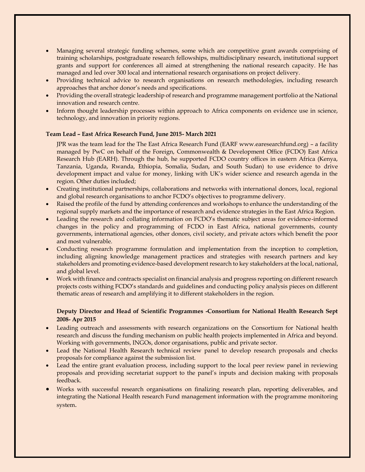- Managing several strategic funding schemes, some which are competitive grant awards comprising of training scholarships, postgraduate research fellowships, multidisciplinary research, institutional support grants and support for conferences all aimed at strengthening the national research capacity. He has managed and led over 300 local and international research organisations on project delivery.
- Providing technical advice to research organisations on research methodologies, including research approaches that anchor donor's needs and specifications.
- Providing the overall strategic leadership of research and programme management portfolio at the National innovation and research centre.
- Inform thought leadership processes within approach to Africa components on evidence use in science, technology, and innovation in priority regions.

### **Team Lead – East Africa Research Fund, June 2015- March 2021**

JPR was the team lead for the The East Africa Research Fund (EARF www.earesearchfund.org) – a facility managed by PwC on behalf of the Foreign, Commonwealth & Development Office (FCDO) East Africa Research Hub (EARH). Through the hub, he supported FCDO country offices in eastern Africa (Kenya, Tanzania, Uganda, Rwanda, Ethiopia, Somalia, Sudan, and South Sudan) to use evidence to drive development impact and value for money, linking with UK's wider science and research agenda in the region. Other duties included;

- Creating institutional partnerships, collaborations and networks with international donors, local, regional and global research organisations to anchor FCDO's objectives to programme delivery.
- Raised the profile of the fund by attending conferences and workshops to enhance the understanding of the regional supply markets and the importance of research and evidence strategies in the East Africa Region.
- Leading the research and collating information on FCDO's thematic subject areas for evidence-informed changes in the policy and programming of FCDO in East Africa, national governments, county governments, international agencies, other donors, civil society, and private actors which benefit the poor and most vulnerable.
- Conducting research programme formulation and implementation from the inception to completion, including aligning knowledge management practices and strategies with research partners and key stakeholders and promoting evidence-based development research to key stakeholders at the local, national, and global level.
- Work with finance and contracts specialist on financial analysis and progress reporting on different research projects costs withing FCDO's standards and guidelines and conducting policy analysis pieces on different thematic areas of research and amplifying it to different stakeholders in the region.

## **Deputy Director and Head of Scientific Programmes -Consortium for National Health Research Sept 2008- Apr 2015**

- Leading outreach and assessments with research organizations on the Consortium for National health research and discuss the funding mechanism on public health projects implemented in Africa and beyond. Working with governments, INGOs, donor organisations, public and private sector.
- Lead the National Health Research technical review panel to develop research proposals and checks proposals for compliance against the submission list.
- Lead the entire grant evaluation process, including support to the local peer review panel in reviewing proposals and providing secretariat support to the panel's inputs and decision making with proposals feedback.
- Works with successful research organisations on finalizing research plan, reporting deliverables, and integrating the National Health research Fund management information with the programme monitoring system.